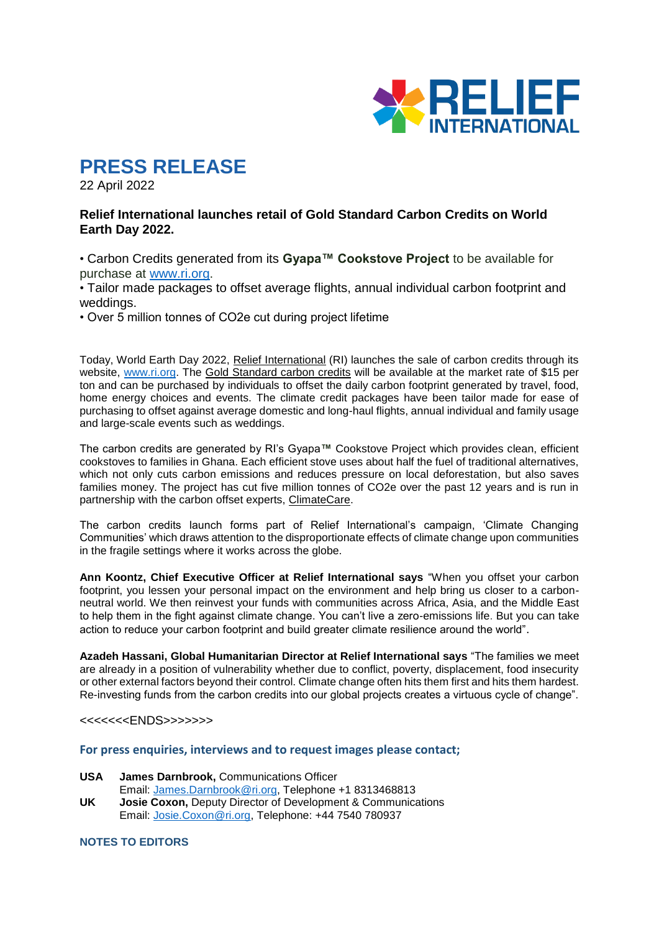

# **PRESS RELEASE**

22 April 2022

## **Relief International launches retail of Gold Standard Carbon Credits on World Earth Day 2022.**

• Carbon Credits generated from its **Gyapa™ Cookstove Project** to be available for purchase at [www.ri.org.](http://www.ri.org/)

• Tailor made packages to offset average flights, annual individual carbon footprint and weddings.

• Over 5 million tonnes of CO2e cut during project lifetime

Today, World Earth Day 2022, Relief International (RI) launches the sale of carbon credits through its website, [www.ri.org.](http://www.ri.org/) The Gold Standard carbon credits will be available at the market rate of \$15 per ton and can be purchased by individuals to offset the daily carbon footprint generated by travel, food, home energy choices and events. The climate credit packages have been tailor made for ease of purchasing to offset against average domestic and long-haul flights, annual individual and family usage and large-scale events such as weddings.

The carbon credits are generated by RI's Gyapa**™** Cookstove Project which provides clean, efficient cookstoves to families in Ghana. Each efficient stove uses about half the fuel of traditional alternatives, which not only cuts carbon emissions and reduces pressure on local deforestation, but also saves families money. The project has cut five million tonnes of CO2e over the past 12 years and is run in partnership with the carbon offset experts, ClimateCare.

The carbon credits launch forms part of Relief International's campaign, 'Climate Changing Communities' which draws attention to the disproportionate effects of climate change upon communities in the fragile settings where it works across the globe.

**Ann Koontz, Chief Executive Officer at Relief International says** "When you offset your carbon footprint, you lessen your personal impact on the environment and help bring us closer to a carbonneutral world. We then reinvest your funds with communities across Africa, Asia, and the Middle East to help them in the fight against climate change. You can't live a zero-emissions life. But you can take action to reduce your carbon footprint and build greater climate resilience around the world".

**Azadeh Hassani, Global Humanitarian Director at Relief International says** "The families we meet are already in a position of vulnerability whether due to conflict, poverty, displacement, food insecurity or other external factors beyond their control. Climate change often hits them first and hits them hardest. Re-investing funds from the carbon credits into our global projects creates a virtuous cycle of change".

<<<<<<<ENDS>>>>>>>

### **For press enquiries, interviews and to request images please contact;**

- **USA James Darnbrook,** Communications Officer
- Email: [James.Darnbrook@ri.org,](mailto:James.Darnbrook@ri.org) Telephone +1 8313468813
- **UK Josie Coxon,** Deputy Director of Development & Communications Email: [Josie.Coxon@ri.org,](mailto:Josie.Coxon@ri.org) Telephone: +44 7540 780937

**NOTES TO EDITORS**